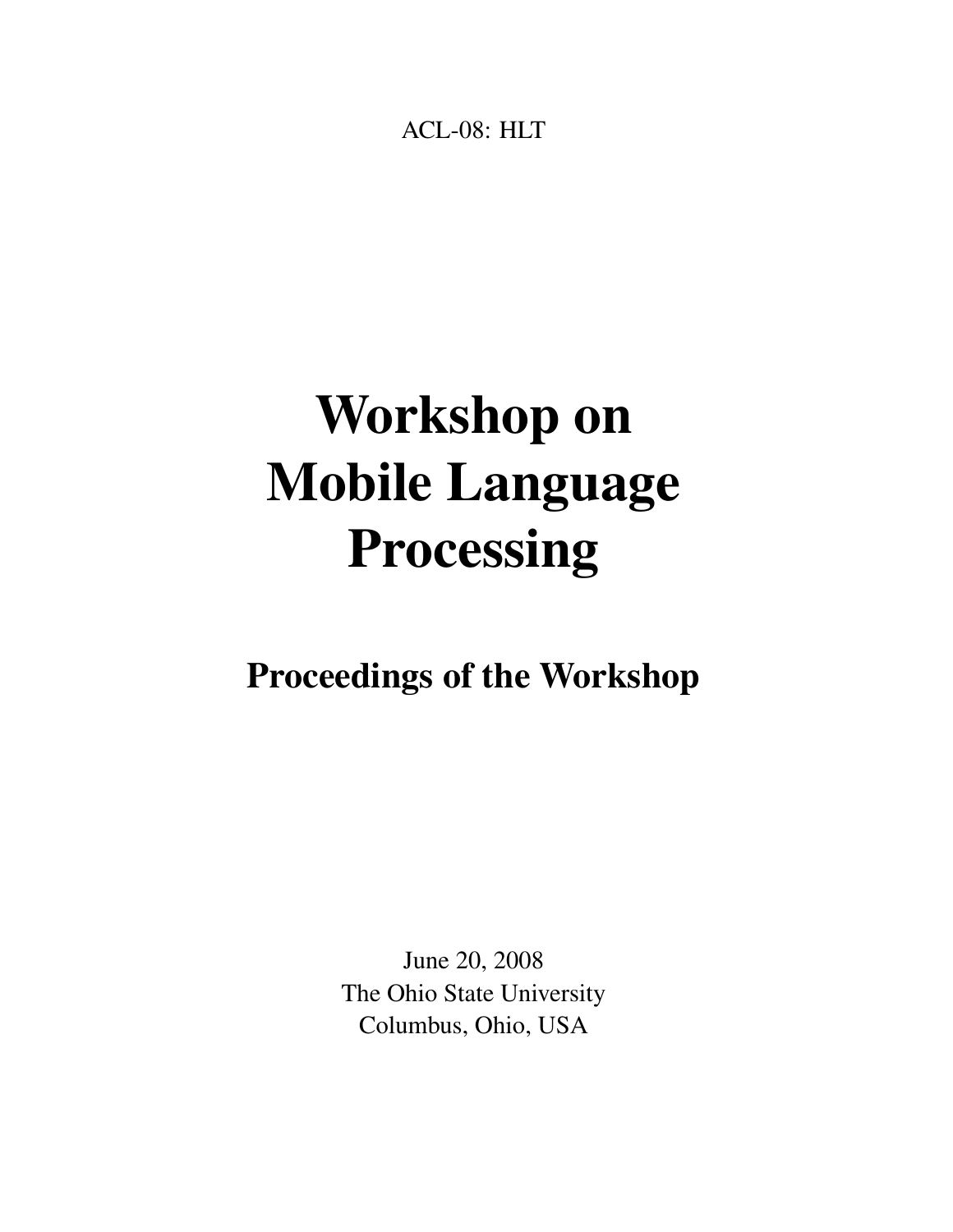<span id="page-0-0"></span>ACL-08: HLT

# Workshop on Mobile Language Processing

# Proceedings of the Workshop

June 20, 2008 The Ohio State University Columbus, Ohio, USA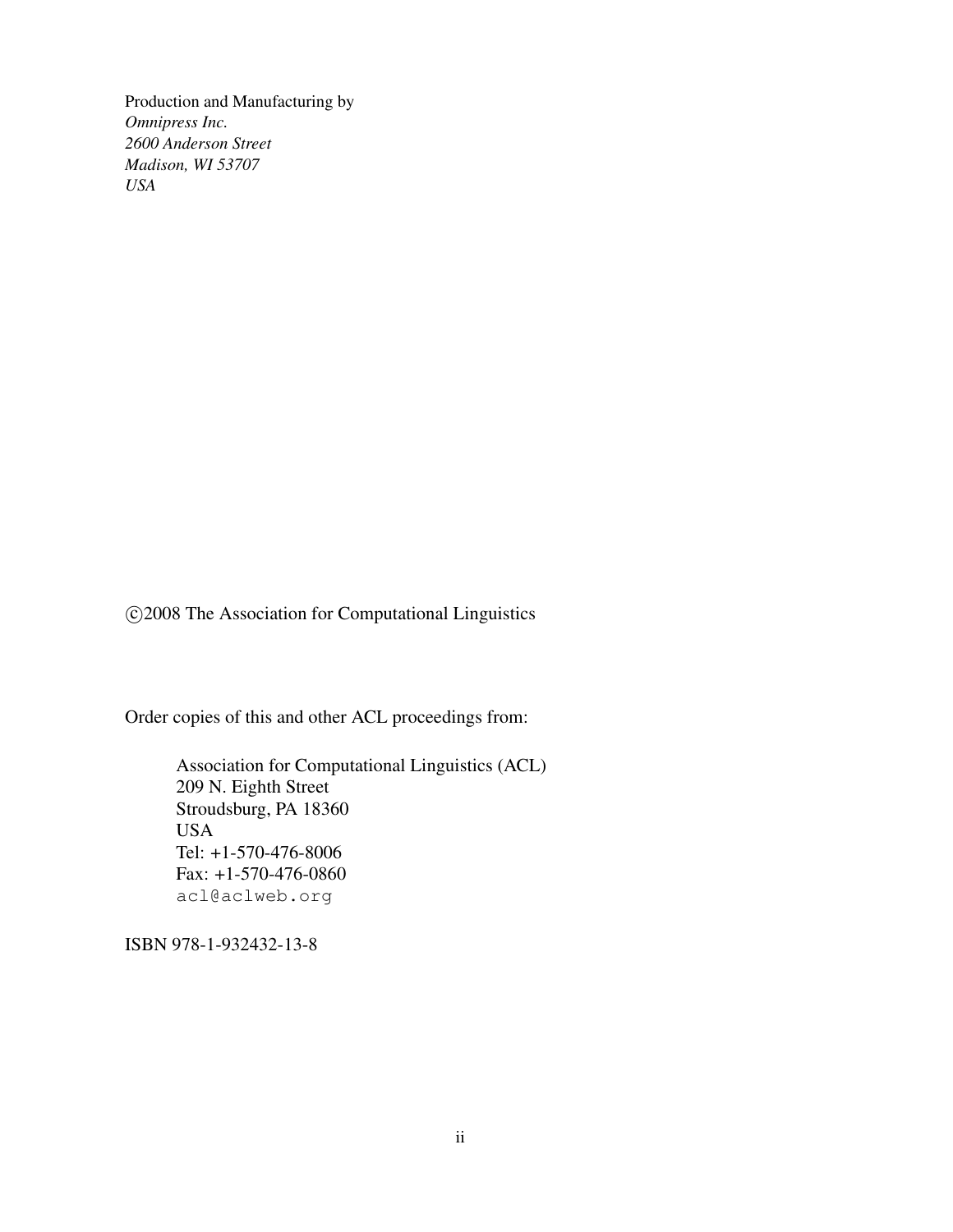Production and Manufacturing by *Omnipress Inc. 2600 Anderson Street Madison, WI 53707 USA*

c 2008 The Association for Computational Linguistics

Order copies of this and other ACL proceedings from:

Association for Computational Linguistics (ACL) 209 N. Eighth Street Stroudsburg, PA 18360 USA Tel: +1-570-476-8006 Fax: +1-570-476-0860 acl@aclweb.org

ISBN 978-1-932432-13-8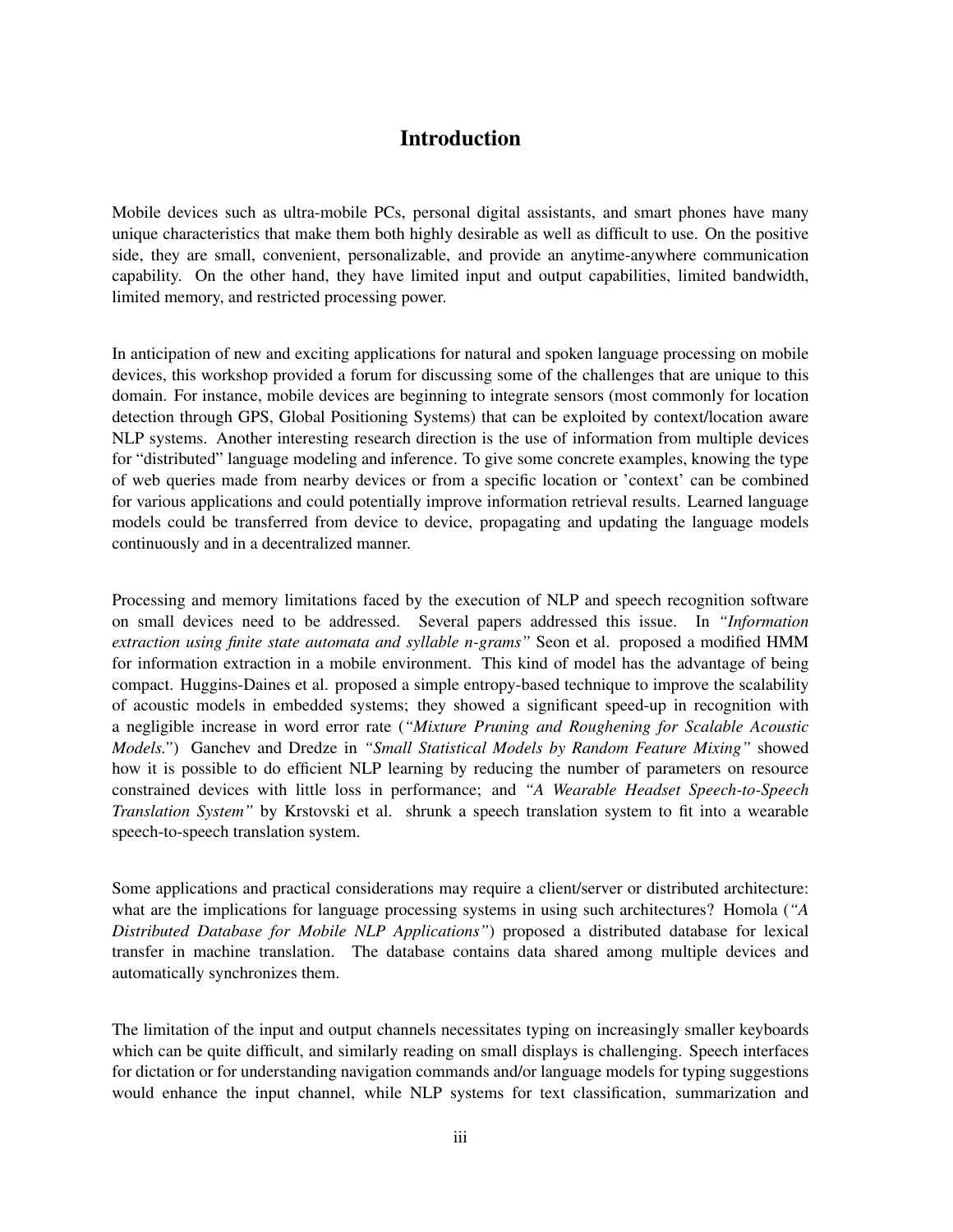## Introduction

Mobile devices such as ultra-mobile PCs, personal digital assistants, and smart phones have many unique characteristics that make them both highly desirable as well as difficult to use. On the positive side, they are small, convenient, personalizable, and provide an anytime-anywhere communication capability. On the other hand, they have limited input and output capabilities, limited bandwidth, limited memory, and restricted processing power.

In anticipation of new and exciting applications for natural and spoken language processing on mobile devices, this workshop provided a forum for discussing some of the challenges that are unique to this domain. For instance, mobile devices are beginning to integrate sensors (most commonly for location detection through GPS, Global Positioning Systems) that can be exploited by context/location aware NLP systems. Another interesting research direction is the use of information from multiple devices for "distributed" language modeling and inference. To give some concrete examples, knowing the type of web queries made from nearby devices or from a specific location or 'context' can be combined for various applications and could potentially improve information retrieval results. Learned language models could be transferred from device to device, propagating and updating the language models continuously and in a decentralized manner.

Processing and memory limitations faced by the execution of NLP and speech recognition software on small devices need to be addressed. Several papers addressed this issue. In *"Information extraction using finite state automata and syllable n-grams"* Seon et al. proposed a modified HMM for information extraction in a mobile environment. This kind of model has the advantage of being compact. Huggins-Daines et al. proposed a simple entropy-based technique to improve the scalability of acoustic models in embedded systems; they showed a significant speed-up in recognition with a negligible increase in word error rate (*"Mixture Pruning and Roughening for Scalable Acoustic Models."*) Ganchev and Dredze in *"Small Statistical Models by Random Feature Mixing"* showed how it is possible to do efficient NLP learning by reducing the number of parameters on resource constrained devices with little loss in performance; and *"A Wearable Headset Speech-to-Speech Translation System"* by Krstovski et al. shrunk a speech translation system to fit into a wearable speech-to-speech translation system.

Some applications and practical considerations may require a client/server or distributed architecture: what are the implications for language processing systems in using such architectures? Homola (*"A Distributed Database for Mobile NLP Applications"*) proposed a distributed database for lexical transfer in machine translation. The database contains data shared among multiple devices and automatically synchronizes them.

The limitation of the input and output channels necessitates typing on increasingly smaller keyboards which can be quite difficult, and similarly reading on small displays is challenging. Speech interfaces for dictation or for understanding navigation commands and/or language models for typing suggestions would enhance the input channel, while NLP systems for text classification, summarization and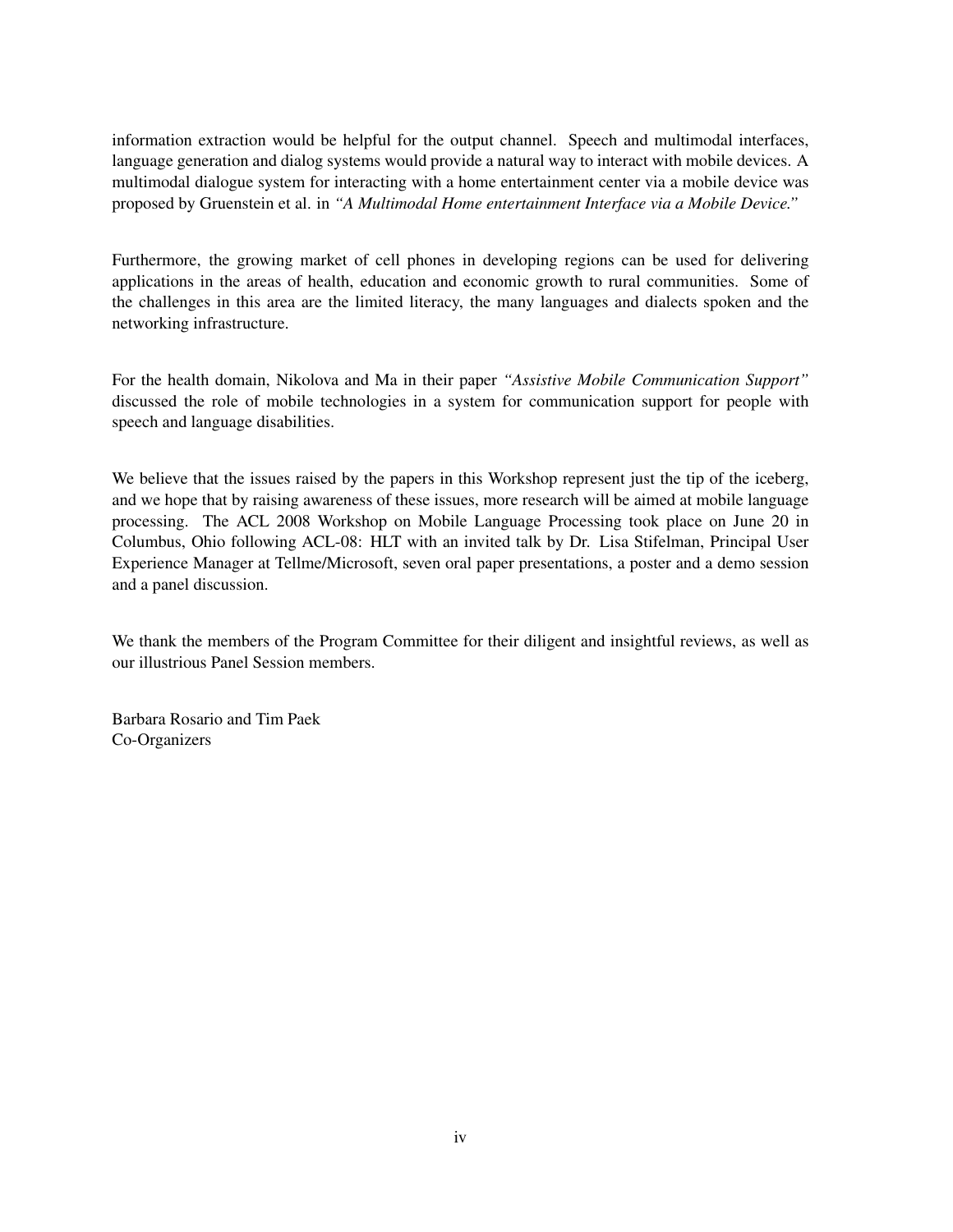information extraction would be helpful for the output channel. Speech and multimodal interfaces, language generation and dialog systems would provide a natural way to interact with mobile devices. A multimodal dialogue system for interacting with a home entertainment center via a mobile device was proposed by Gruenstein et al. in *"A Multimodal Home entertainment Interface via a Mobile Device."*

Furthermore, the growing market of cell phones in developing regions can be used for delivering applications in the areas of health, education and economic growth to rural communities. Some of the challenges in this area are the limited literacy, the many languages and dialects spoken and the networking infrastructure.

For the health domain, Nikolova and Ma in their paper *"Assistive Mobile Communication Support"* discussed the role of mobile technologies in a system for communication support for people with speech and language disabilities.

We believe that the issues raised by the papers in this Workshop represent just the tip of the iceberg, and we hope that by raising awareness of these issues, more research will be aimed at mobile language processing. The ACL 2008 Workshop on Mobile Language Processing took place on June 20 in Columbus, Ohio following ACL-08: HLT with an invited talk by Dr. Lisa Stifelman, Principal User Experience Manager at Tellme/Microsoft, seven oral paper presentations, a poster and a demo session and a panel discussion.

We thank the members of the Program Committee for their diligent and insightful reviews, as well as our illustrious Panel Session members.

Barbara Rosario and Tim Paek Co-Organizers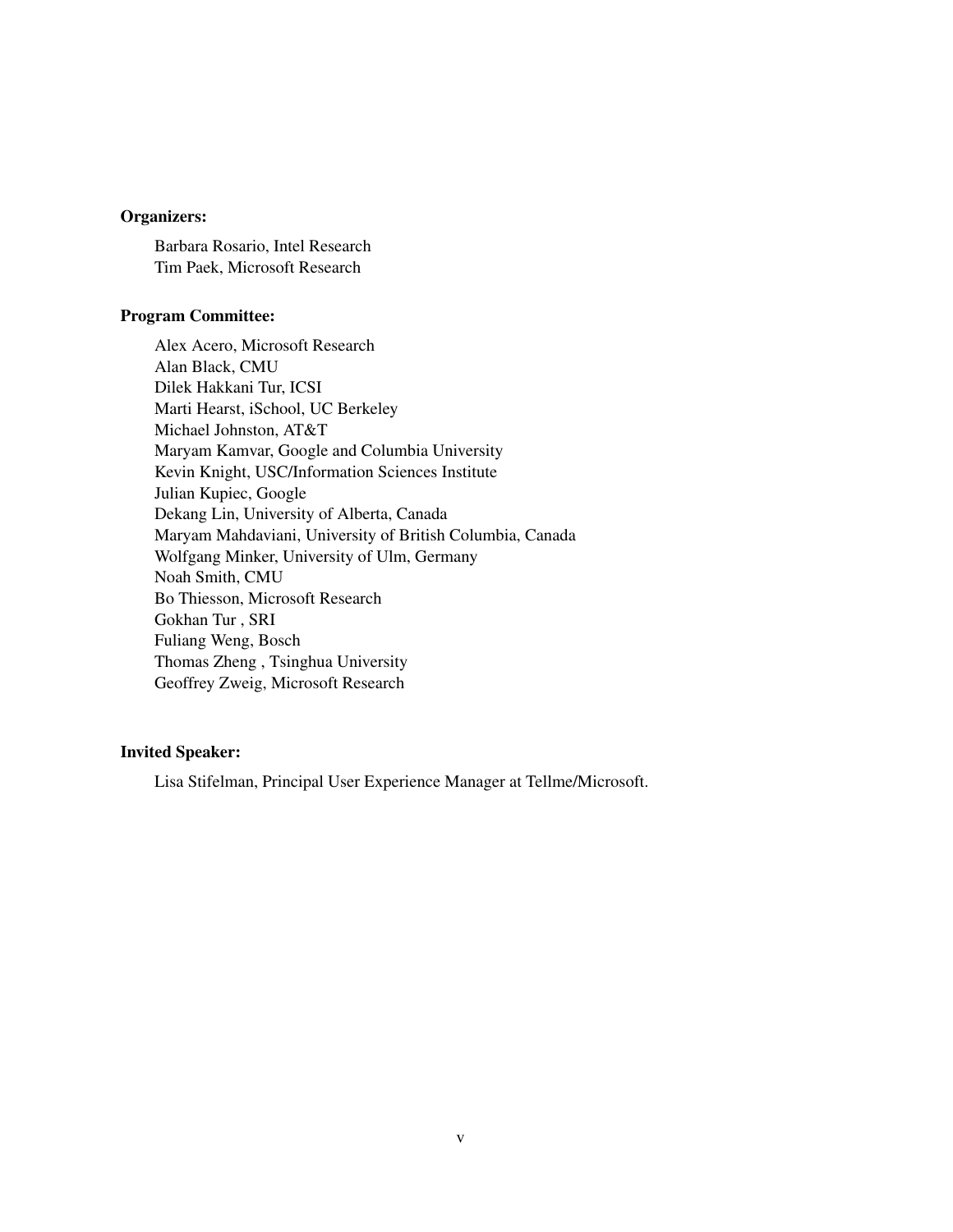#### Organizers:

Barbara Rosario, Intel Research Tim Paek, Microsoft Research

#### Program Committee:

Alex Acero, Microsoft Research Alan Black, CMU Dilek Hakkani Tur, ICSI Marti Hearst, iSchool, UC Berkeley Michael Johnston, AT&T Maryam Kamvar, Google and Columbia University Kevin Knight, USC/Information Sciences Institute Julian Kupiec, Google Dekang Lin, University of Alberta, Canada Maryam Mahdaviani, University of British Columbia, Canada Wolfgang Minker, University of Ulm, Germany Noah Smith, CMU Bo Thiesson, Microsoft Research Gokhan Tur , SRI Fuliang Weng, Bosch Thomas Zheng , Tsinghua University Geoffrey Zweig, Microsoft Research

#### Invited Speaker:

Lisa Stifelman, Principal User Experience Manager at Tellme/Microsoft.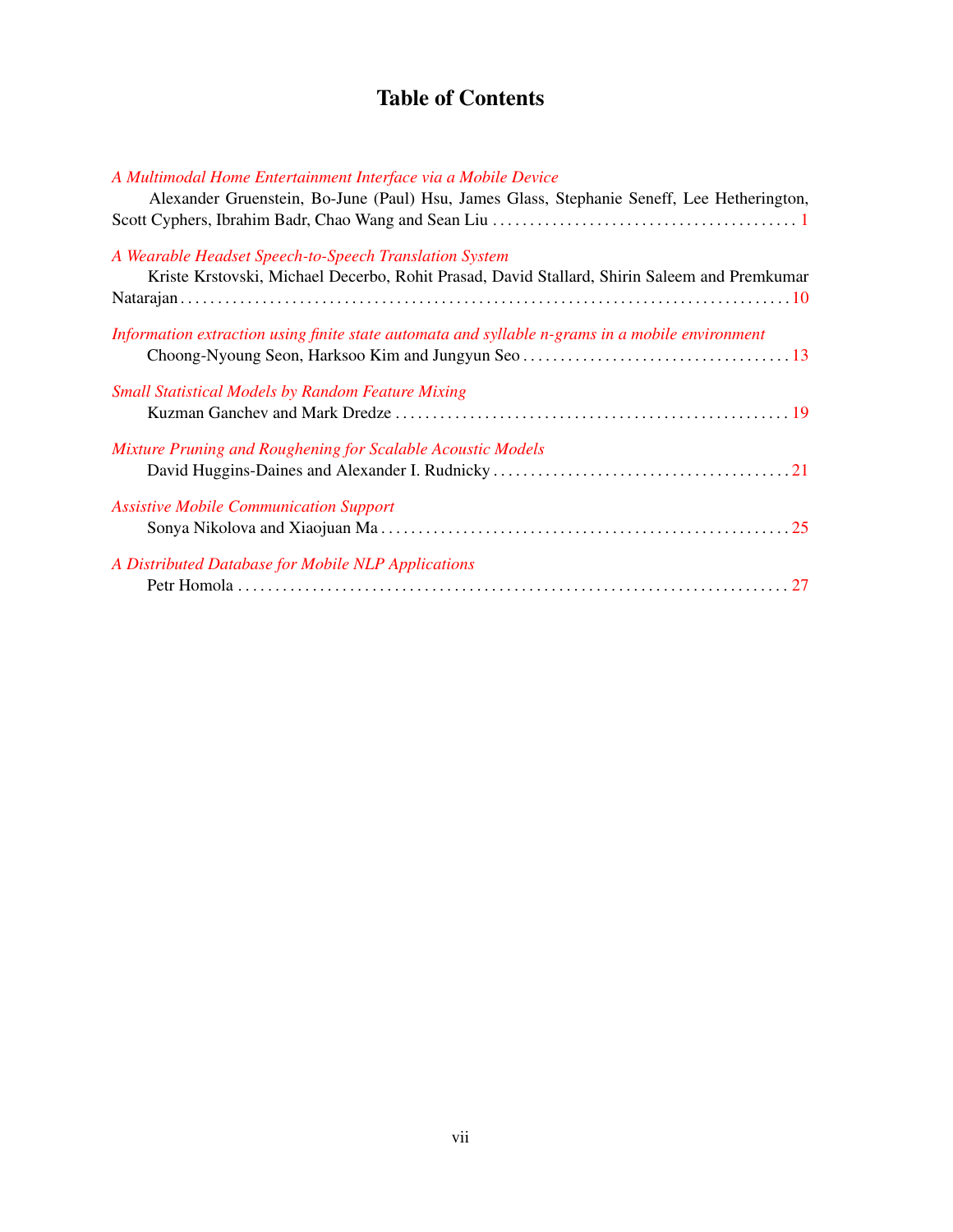# Table of Contents

| A Multimodal Home Entertainment Interface via a Mobile Device                                   |
|-------------------------------------------------------------------------------------------------|
| Alexander Gruenstein, Bo-June (Paul) Hsu, James Glass, Stephanie Seneff, Lee Hetherington,      |
|                                                                                                 |
|                                                                                                 |
| A Wearable Headset Speech-to-Speech Translation System                                          |
| Kriste Krstovski, Michael Decerbo, Rohit Prasad, David Stallard, Shirin Saleem and Premkumar    |
|                                                                                                 |
| Information extraction using finite state automata and syllable n-grams in a mobile environment |
|                                                                                                 |
|                                                                                                 |
| <b>Small Statistical Models by Random Feature Mixing</b>                                        |
|                                                                                                 |
|                                                                                                 |
| Mixture Pruning and Roughening for Scalable Acoustic Models                                     |
|                                                                                                 |
|                                                                                                 |
| <b>Assistive Mobile Communication Support</b>                                                   |
|                                                                                                 |
|                                                                                                 |
| A Distributed Database for Mobile NLP Applications                                              |
|                                                                                                 |